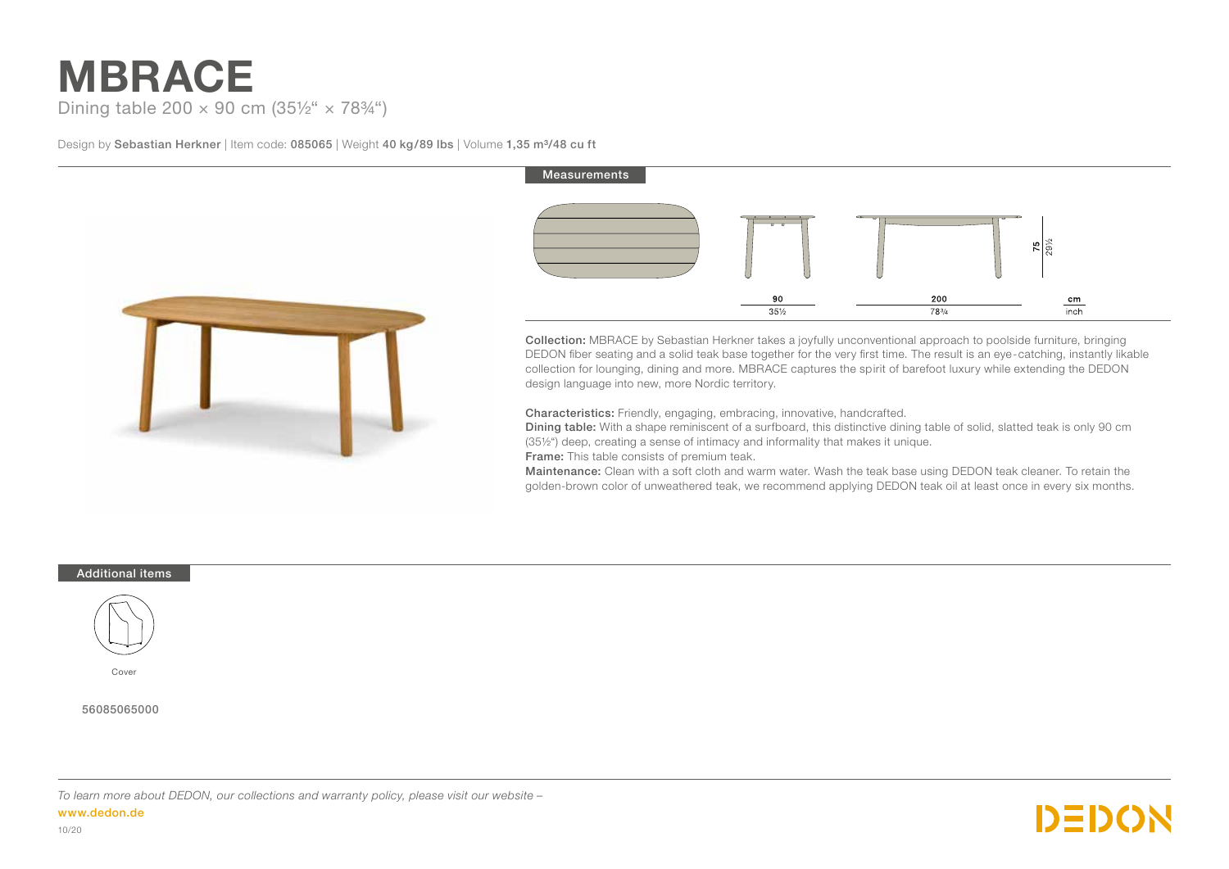# **MBRACE** Dining table 200  $\times$  90 cm (35½"  $\times$  78¼")

Design by Sebastian Herkner | Item code: 085065 | Weight 40 kg/89 lbs | Volume 1,35 m<sup>3</sup>/48 cu ft



# Measurements 75 90 200  $cm$  $.35\%$ **783/4**  $\overline{\text{inch}}$

Collection: MBRACE by Sebastian Herkner takes a joyfully unconventional approach to poolside furniture, bringing DEDON fiber seating and a solid teak base together for the very first time. The result is an eye-catching, instantly likable collection for lounging, dining and more. MBRACE captures the spirit of barefoot luxury while extending the DEDON design language into new, more Nordic territory.

Characteristics: Friendly, engaging, embracing, innovative, handcrafted.

Dining table: With a shape reminiscent of a surfboard, this distinctive dining table of solid, slatted teak is only 90 cm (35½") deep, creating a sense of intimacy and informality that makes it unique.

Frame: This table consists of premium teak.

Maintenance: Clean with a soft cloth and warm water. Wash the teak base using DEDON teak cleaner. To retain the golden-brown color of unweathered teak, we recommend applying DEDON teak oil at least once in every six months.

### Additional items



Cover

## 56085065000

*To learn more about DEDON, our collections and warranty policy, please visit our website –*